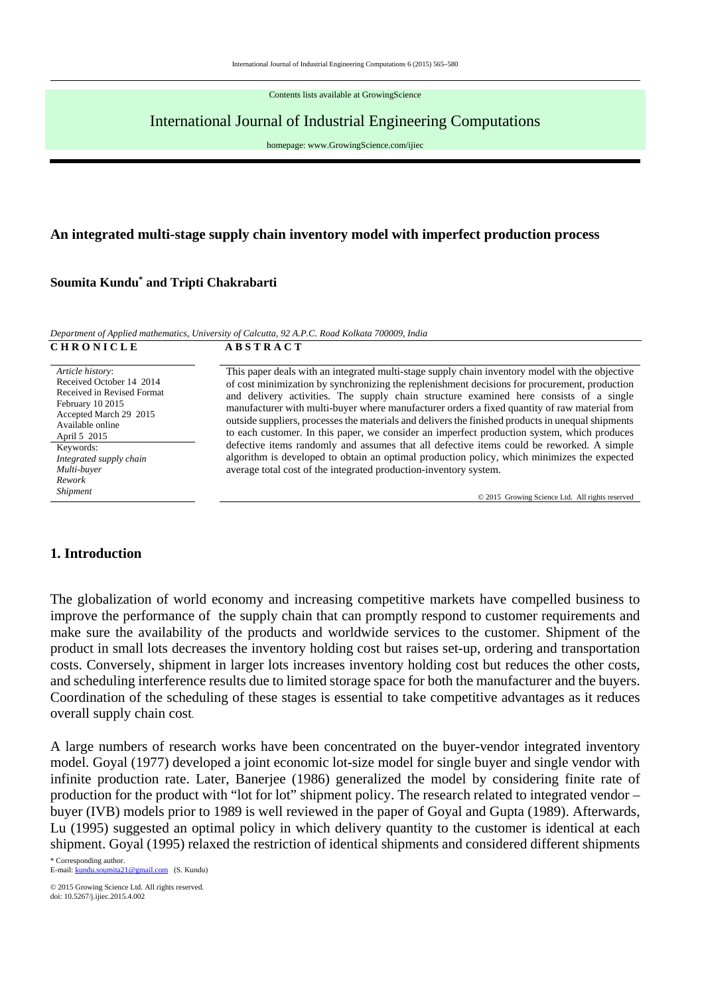Contents lists available at GrowingScience

# International Journal of Industrial Engineering Computations

homepage: www.GrowingScience.com/ijiec

# **An integrated multi-stage supply chain inventory model with imperfect production process**

### **Soumita Kundu\* and Tripti Chakrabarti**

| <b>CHRONICLE</b>                                                                                                                                                                                                              | <b>ABSTRACT</b>                                                                                                                                                                                                                                                                                                                                                                                                                                                                                                                                                                                                                                                                                                                                                                                                                                                   |
|-------------------------------------------------------------------------------------------------------------------------------------------------------------------------------------------------------------------------------|-------------------------------------------------------------------------------------------------------------------------------------------------------------------------------------------------------------------------------------------------------------------------------------------------------------------------------------------------------------------------------------------------------------------------------------------------------------------------------------------------------------------------------------------------------------------------------------------------------------------------------------------------------------------------------------------------------------------------------------------------------------------------------------------------------------------------------------------------------------------|
| Article history:<br>Received October 14 2014<br>Received in Revised Format<br>February 10 2015<br>Accepted March 29 2015<br>Available online<br>April 5 2015<br>Keywords:<br>Integrated supply chain<br>Multi-buyer<br>Rework | This paper deals with an integrated multi-stage supply chain inventory model with the objective<br>of cost minimization by synchronizing the replenishment decisions for procurement, production<br>and delivery activities. The supply chain structure examined here consists of a single<br>manufacturer with multi-buyer where manufacturer orders a fixed quantity of raw material from<br>outside suppliers, processes the materials and delivers the finished products in unequal shipments<br>to each customer. In this paper, we consider an imperfect production system, which produces<br>defective items randomly and assumes that all defective items could be reworked. A simple<br>algorithm is developed to obtain an optimal production policy, which minimizes the expected<br>average total cost of the integrated production-inventory system. |
| <i>Shipment</i>                                                                                                                                                                                                               | © 2015 Growing Science Ltd. All rights reserved                                                                                                                                                                                                                                                                                                                                                                                                                                                                                                                                                                                                                                                                                                                                                                                                                   |

#### *Department of Applied mathematics, University of Calcutta, 92 A.P.C. Road Kolkata 700009, India*

### **1. Introduction**

The globalization of world economy and increasing competitive markets have compelled business to improve the performance of the supply chain that can promptly respond to customer requirements and make sure the availability of the products and worldwide services to the customer. Shipment of the product in small lots decreases the inventory holding cost but raises set-up, ordering and transportation costs. Conversely, shipment in larger lots increases inventory holding cost but reduces the other costs, and scheduling interference results due to limited storage space for both the manufacturer and the buyers. Coordination of the scheduling of these stages is essential to take competitive advantages as it reduces overall supply chain cost.

A large numbers of research works have been concentrated on the buyer-vendor integrated inventory model. Goyal (1977) developed a joint economic lot-size model for single buyer and single vendor with infinite production rate. Later, Banerjee (1986) generalized the model by considering finite rate of production for the product with "lot for lot" shipment policy. The research related to integrated vendor – buyer (IVB) models prior to 1989 is well reviewed in the paper of Goyal and Gupta (1989). Afterwards, Lu (1995) suggested an optimal policy in which delivery quantity to the customer is identical at each shipment. Goyal (1995) relaxed the restriction of identical shipments and considered different shipments

\* Corresponding author. E-mail[: kundu.soumita21@gmail.com](mailto:kundu.soumita21@gmail.com) (S. Kundu)

© 2015 Growing Science Ltd. All rights reserved. doi: 10.5267/j.ijiec.2015.4.002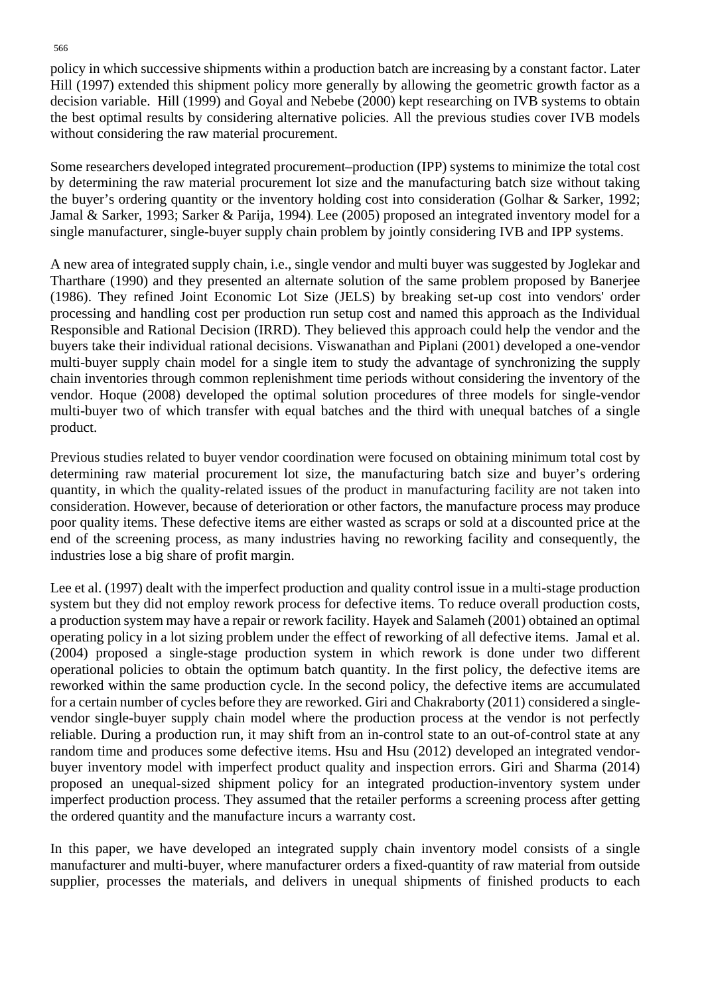policy in which successive shipments within a production batch are increasing by a constant factor. Later Hill (1997) extended this shipment policy more generally by allowing the geometric growth factor as a decision variable. Hill (1999) and Goyal and Nebebe (2000) kept researching on IVB systems to obtain the best optimal results by considering alternative policies. All the previous studies cover IVB models without considering the raw material procurement.

Some researchers developed integrated procurement–production (IPP) systems to minimize the total cost by determining the raw material procurement lot size and the manufacturing batch size without taking the buyer's ordering quantity or the inventory holding cost into consideration (Golhar & Sarker, 1992; Jamal & Sarker, 1993; Sarker & Parija, 1994). Lee (2005) proposed an integrated inventory model for a single manufacturer, single-buyer supply chain problem by jointly considering IVB and IPP systems.

A new area of integrated supply chain, i.e., single vendor and multi buyer was suggested by Joglekar and Tharthare (1990) and they presented an alternate solution of the same problem proposed by Banerjee (1986). They refined Joint Economic Lot Size (JELS) by breaking set-up cost into vendors' order processing and handling cost per production run setup cost and named this approach as the Individual Responsible and Rational Decision (IRRD). They believed this approach could help the vendor and the buyers take their individual rational decisions. Viswanathan and Piplani (2001) developed a one-vendor multi-buyer supply chain model for a single item to study the advantage of synchronizing the supply chain inventories through common replenishment time periods without considering the inventory of the vendor. Hoque (2008) developed the optimal solution procedures of three models for single-vendor multi-buyer two of which transfer with equal batches and the third with unequal batches of a single product.

Previous studies related to buyer vendor coordination were focused on obtaining minimum total cost by determining raw material procurement lot size, the manufacturing batch size and buyer's ordering quantity, in which the quality-related issues of the product in manufacturing facility are not taken into consideration. However, because of deterioration or other factors, the manufacture process may produce poor quality items. These defective items are either wasted as scraps or sold at a discounted price at the end of the screening process, as many industries having no reworking facility and consequently, the industries lose a big share of profit margin.

Lee et al. (1997) dealt with the imperfect production and quality control issue in a multi-stage production system but they did not employ rework process for defective items. To reduce overall production costs, a production system may have a repair or rework facility. Hayek and Salameh (2001) obtained an optimal operating policy in a lot sizing problem under the effect of reworking of all defective items. Jamal et al. (2004) proposed a single-stage production system in which rework is done under two different operational policies to obtain the optimum batch quantity. In the first policy, the defective items are reworked within the same production cycle. In the second policy, the defective items are accumulated for a certain number of cycles before they are reworked. Giri and Chakraborty (2011) considered a singlevendor single-buyer supply chain model where the production process at the vendor is not perfectly reliable. During a production run, it may shift from an in-control state to an out-of-control state at any random time and produces some defective items. Hsu and Hsu (2012) developed an integrated vendorbuyer inventory model with imperfect product quality and inspection errors. Giri and Sharma (2014) proposed an unequal-sized shipment policy for an integrated production-inventory system under imperfect production process. They assumed that the retailer performs a screening process after getting the ordered quantity and the manufacture incurs a warranty cost.

In this paper, we have developed an integrated supply chain inventory model consists of a single manufacturer and multi-buyer, where manufacturer orders a fixed-quantity of raw material from outside supplier, processes the materials, and delivers in unequal shipments of finished products to each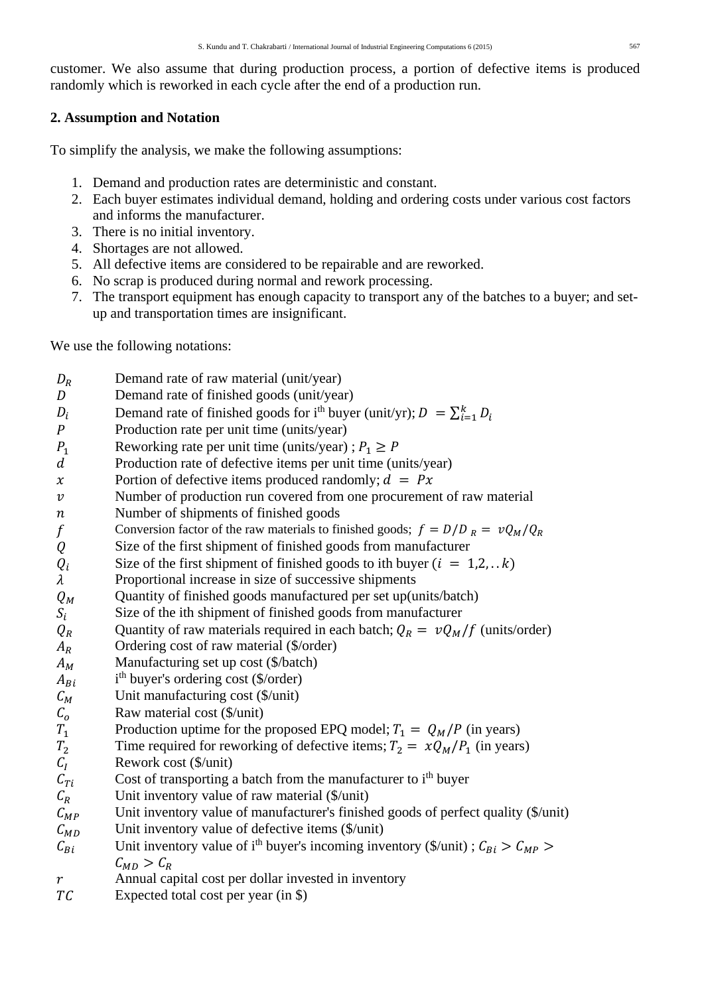customer. We also assume that during production process, a portion of defective items is produced randomly which is reworked in each cycle after the end of a production run.

# **2. Assumption and Notation**

To simplify the analysis, we make the following assumptions:

- 1. Demand and production rates are deterministic and constant.
- 2. Each buyer estimates individual demand, holding and ordering costs under various cost factors and informs the manufacturer.
- 3. There is no initial inventory.
- 4. Shortages are not allowed.
- 5. All defective items are considered to be repairable and are reworked.
- 6. No scrap is produced during normal and rework processing.
- 7. The transport equipment has enough capacity to transport any of the batches to a buyer; and setup and transportation times are insignificant.

We use the following notations:

- $D_R$  Demand rate of raw material (unit/year)<br>Demand rate of finished goods (unit/year)
- Demand rate of finished goods (unit/year)<br> $D_i$  Demand rate of finished goods for i<sup>th</sup> buve
- Demand rate of finished goods for i<sup>th</sup> buyer (unit/yr);  $D = \sum_{i=1}^{k} D_i$
- Production rate per unit time (units/year)
- P<sub>1</sub> Reworking rate per unit time (units/year) ;  $P_1 \ge P_1$ <br>Production rate of defective items per unit time (u
- Production rate of defective items per unit time (units/year)
- x Portion of defective items produced randomly;  $d = Px$ <br>
Number of production run covered from one procurement
- $\nu$  Number of production run covered from one procurement of raw material Number of shipments of finished goods
- Number of shipments of finished goods
- Conversion factor of the raw materials to finished goods;  $f = D/D_R = vQ_M/Q_R$ <br>O Size of the first shipment of finished goods from manufacturer
- 
- Q Size of the first shipment of finished goods from manufacturer  $Q_i$  Size of the first shipment of finished goods to ith buyer  $(i = 1, j)$  $Q_i$  Size of the first shipment of finished goods to ith buyer  $(i = 1,2,..k)$ <br>
Proportional increase in size of successive shipments
- 
- $\lambda$  Proportional increase in size of successive shipments<br>  $Q_M$  Quantity of finished goods manufactured per set up(u
- $Q_M$  Quantity of finished goods manufactured per set up(units/batch)<br> $S_i$  Size of the ith shipment of finished goods from manufacturer  $S_i$  Size of the ith shipment of finished goods from manufacturer  $Q_R$  Quantity of raw materials required in each batch;  $Q_R = vQ_M$
- $Q_R$  Quantity of raw materials required in each batch;  $Q_R = vQ_M/f$  (units/order)<br>  $A_R$  Ordering cost of raw material (\$/order)
- 
- $A_R$  Ordering cost of raw material (\$/order)<br>  $A_M$  Manufacturing set up cost (\$/batch) Manufacturing set up cost (\$/batch)
- i<sup>th</sup> buyer's ordering cost (\$/order)
- $\frac{A_{Bi}}{C_M}$
- $C_M$  Unit manufacturing cost (\$/unit)<br>  $C_O$  Raw material cost (\$/unit)
- $C_o$  Raw material cost (\$/unit)<br>  $T_1$  Production uptime for the
- $T_1$  Production uptime for the proposed EPQ model;  $T_1 = Q_M/P$  (in years)<br>  $T_2$  Time required for reworking of defective items;  $T_2 = xQ_M/P_1$  (in years)  $T_2$  Time required for reworking of defective items;  $T_2 = xQ_M/P_1$  (in years)<br>  $C_I$  Rework cost (\$/unit)
- 
- $C_I$  Rework cost (\$/unit)<br>  $C_{Ti}$  Cost of transporting  $C_{Ti}$  Cost of transporting a batch from the manufacturer to i<sup>th</sup> buyer Unit inventory value of raw material (\$/unit)
- $C_R$  Unit inventory value of raw material (\$/unit)<br>Unit inventory value of manufacturer's finish
- $C_{MP}$  Unit inventory value of manufacturer's finished goods of perfect quality (\$/unit)<br>
Unit inventory value of defective items (\$/unit)
- $C_{MD}$  Unit inventory value of defective items (\$/unit)<br>  $C_{Bi}$  Unit inventory value of i<sup>th</sup> buyer's incoming inv
- Unit inventory value of i<sup>th</sup> buyer's incoming inventory (\$/unit) ;  $C_{Bi} > C_{MP} >$  $C_{MD} > C_R$
- $r$  Annual capital cost per dollar invested in inventory<br>TC Expected total cost per vear (in \$)
- Expected total cost per year (in \$)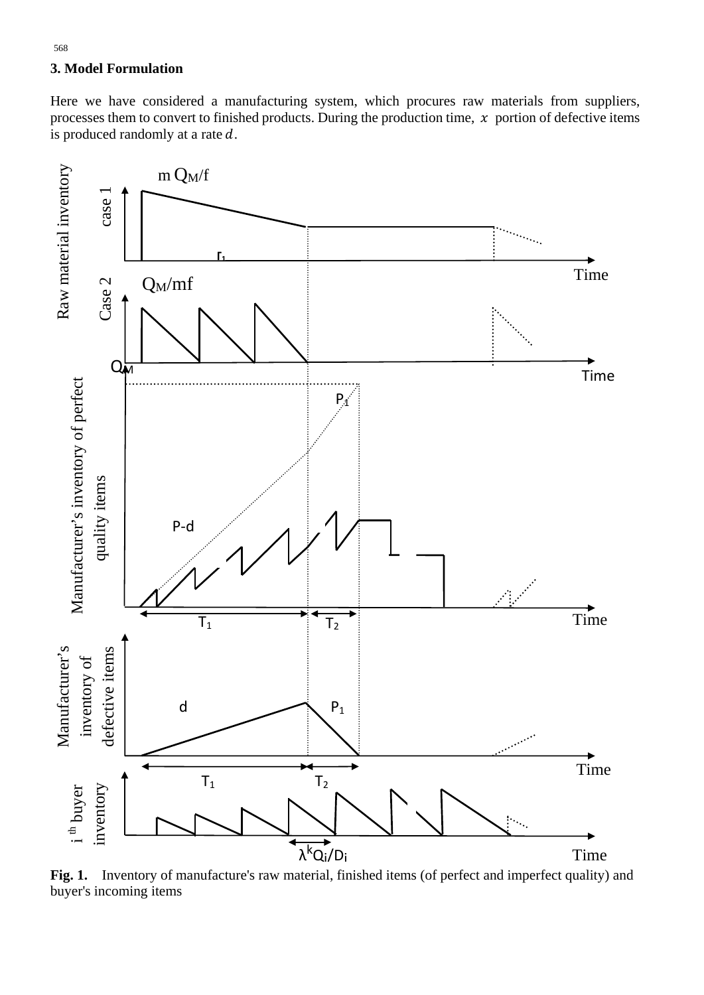568

Here we have considered a manufacturing system, which procures raw materials from suppliers, processes them to convert to finished products. During the production time,  $x$  portion of defective items is produced randomly at a rate  $d$ .



**Fig. 1.** Inventory of manufacture's raw material, finished items (of perfect and imperfect quality) and buyer's incoming items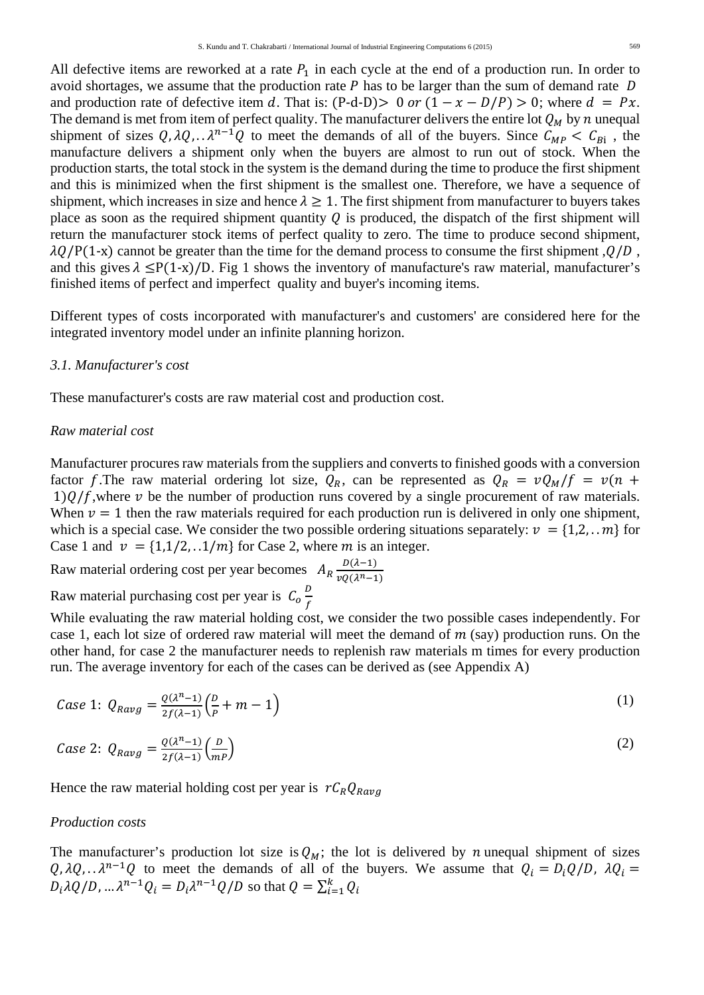All defective items are reworked at a rate  $P_1$  in each cycle at the end of a production run. In order to avoid shortages, we assume that the production rate  $P$  has to be larger than the sum of demand rate  $D$ and production rate of defective item d. That is:  $(P-d-D) > 0$  or  $(1 - x - D/P) > 0$ ; where  $d = Px$ . The demand is met from item of perfect quality. The manufacturer delivers the entire lot  $Q_M$  by n unequal shipment of sizes  $Q, \lambda Q, \ldots \lambda^{n-1}Q$  to meet the demands of all of the buyers. Since  $C_{MP} < C_{Bi}$ , the manufacture delivers a shipment only when the buyers are almost to run out of stock. When the production starts, the total stock in the system is the demand during the time to produce the first shipment and this is minimized when the first shipment is the smallest one. Therefore, we have a sequence of shipment, which increases in size and hence  $\lambda \geq 1$ . The first shipment from manufacturer to buyers takes place as soon as the required shipment quantity  $Q$  is produced, the dispatch of the first shipment will return the manufacturer stock items of perfect quality to zero. The time to produce second shipment,  $\lambda Q/P(1-x)$  cannot be greater than the time for the demand process to consume the first shipment , $Q/D$ , and this gives  $\lambda \leq P(1-x)/D$ . Fig 1 shows the inventory of manufacture's raw material, manufacturer's finished items of perfect and imperfect quality and buyer's incoming items.

Different types of costs incorporated with manufacturer's and customers' are considered here for the integrated inventory model under an infinite planning horizon.

#### *3.1. Manufacturer's cost*

These manufacturer's costs are raw material cost and production cost.

#### *Raw material cost*

Manufacturer procures raw materials from the suppliers and converts to finished goods with a conversion factor f. The raw material ordering lot size,  $Q_R$ , can be represented as  $Q_R = vQ_M/f = v(n +$  $1)Q/f$ , where v be the number of production runs covered by a single procurement of raw materials. When  $\nu = 1$  then the raw materials required for each production run is delivered in only one shipment, which is a special case. We consider the two possible ordering situations separately:  $v = \{1, 2, \ldots m\}$  for Case 1 and  $v = \{1, 1/2, \ldots 1/m\}$  for Case 2, where *m* is an integer.

Raw material ordering cost per year becomes  $A_R \frac{D(\lambda-1)}{p_0(\lambda^n-1)}$  $vQ(\lambda^{n}-1)$ 

Raw material purchasing cost per year is  $C_0 \frac{D}{f}$ 

While evaluating the raw material holding cost, we consider the two possible cases independently. For case 1, each lot size of ordered raw material will meet the demand of  $m$  (say) production runs. On the other hand, for case 2 the manufacturer needs to replenish raw materials m times for every production run. The average inventory for each of the cases can be derived as (see Appendix A)

Case 1: 
$$
Q_{Rayg} = \frac{Q(\lambda^n - 1)}{2f(\lambda - 1)} \left(\frac{D}{P} + m - 1\right)
$$
 (1)

Case 2: 
$$
Q_{Rayg} = \frac{Q(\lambda^n - 1)}{2f(\lambda - 1)} \left(\frac{D}{mP}\right)
$$
 (2)

Hence the raw material holding cost per year is  $rC_RQ_{Rava}$ 

#### *Production costs*

The manufacturer's production lot size is  $Q_M$ ; the lot is delivered by *n* unequal shipment of sizes  $Q, \lambda Q, \ldots \lambda^{n-1}Q$  to meet the demands of all of the buyers. We assume that  $Q_i = D_iQ/D$ ,  $\lambda Q_i =$  $D_i \lambda Q/D$ , ...  $\lambda^{n-1} Q_i = D_i \lambda^{n-1} Q/D$  so that  $Q = \sum_{i=1}^k Q_i$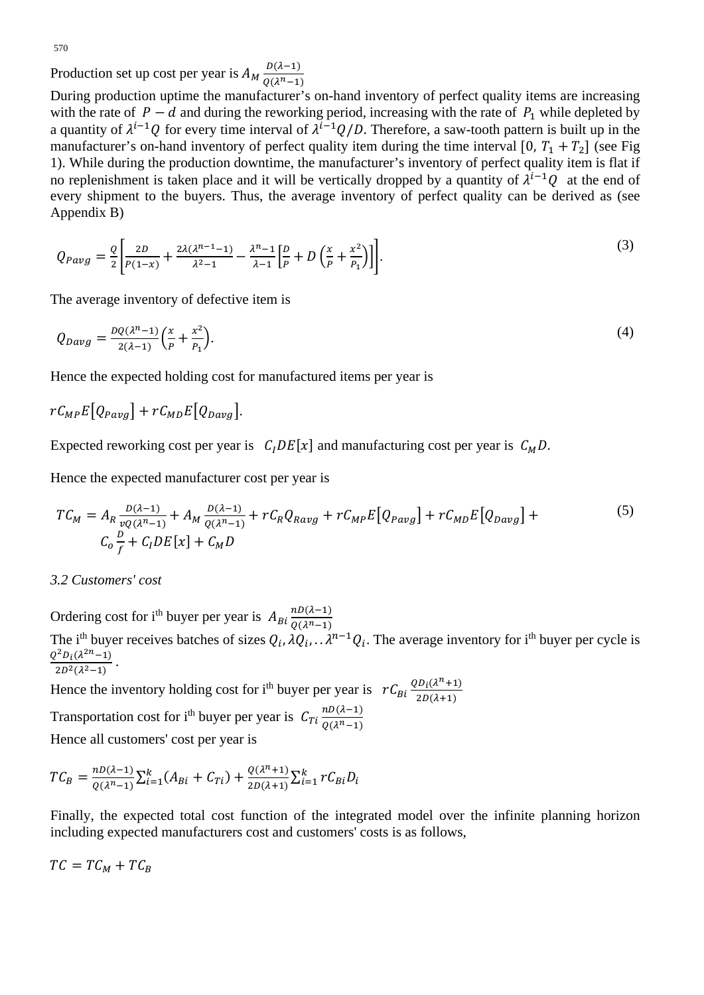Production set up cost per year is  $A_M \frac{D(\lambda - 1)}{D(\lambda^n - 1)}$  $(\lambda^{n}-1)$ 

During production uptime the manufacturer's on-hand inventory of perfect quality items are increasing with the rate of  $P - d$  and during the reworking period, increasing with the rate of  $P_1$  while depleted by a quantity of  $\lambda^{i-1}Q$  for every time interval of  $\lambda^{i-1}Q/D$ . Therefore, a saw-tooth pattern is built up in the manufacturer's on-hand inventory of perfect quality item during the time interval  $[0, T_1 + T_2]$  (see Fig. 1). While during the production downtime, the manufacturer's inventory of perfect quality item is flat if no replenishment is taken place and it will be vertically dropped by a quantity of  $\lambda^{i-1}Q$  at the end of every shipment to the buyers. Thus, the average inventory of perfect quality can be derived as (see Appendix B)

$$
Q_{Pavg} = \frac{Q}{2} \left[ \frac{2D}{P(1-x)} + \frac{2\lambda(\lambda^{n-1}-1)}{\lambda^2-1} - \frac{\lambda^{n}-1}{\lambda-1} \left[ \frac{D}{P} + D\left(\frac{x}{P} + \frac{x^2}{P_1}\right) \right] \right].
$$
\n(3)

The average inventory of defective item is

$$
Q_{\text{Day}} = \frac{DQ(\lambda^n - 1)}{2(\lambda - 1)} \left(\frac{x}{P} + \frac{x^2}{P_1}\right). \tag{4}
$$

Hence the expected holding cost for manufactured items per year is

$$
rC_{MP}E[Q_{Payg}] + rC_{MD}E[Q_{Dayg}].
$$

Expected reworking cost per year is  $C_IDE[x]$  and manufacturing cost per year is  $C_MD$ .

Hence the expected manufacturer cost per year is

$$
TC_{M} = A_{R} \frac{D(\lambda - 1)}{v_{Q(\lambda^{n} - 1)}} + A_{M} \frac{D(\lambda - 1)}{Q(\lambda^{n} - 1)} + rC_{R}Q_{Rayg} + rC_{MP}E[Q_{Payg}] + rC_{MD}E[Q_{Dayg}] + C_{0} \frac{D}{f} + C_{1}DE[x] + C_{MD}D
$$
\n(5)

*3.2 Customers' cost*

Ordering cost for i<sup>th</sup> buyer per year is  $A_{Bi} \frac{nD(\lambda-1)}{O(\lambda^{n}-1)}$  $(\lambda^{n}-1)$ The i<sup>th</sup> buyer receives batches of sizes  $Q_i$ ,  $\lambda Q_i$ ,  $\lambda^{n-1}Q_i$ . The average inventory for i<sup>th</sup> buyer per cycle is  $\frac{Q^2D_i(\lambda^{2n}-1)}{2D^2(\lambda^2-1)}$ 

Hence the inventory holding cost for i<sup>th</sup> buyer per year is  $rC_{Bi} \frac{QD_i(\lambda^{n+1})}{2D(\lambda+1)}$  $2D(A+1)$ Transportation cost for i<sup>th</sup> buyer per year is  $C_{Ti} \frac{nD(\lambda-1)}{O(\lambda^n-1)}$  $(\lambda^{n}-1)$ Hence all customers' cost per year is

$$
TC_B = \frac{nD(\lambda - 1)}{Q(\lambda^{n-1})} \sum_{i=1}^{k} (A_{Bi} + C_{Ti}) + \frac{Q(\lambda^{n+1})}{2D(\lambda + 1)} \sum_{i=1}^{k} r C_{Bi} D_i
$$

Finally, the expected total cost function of the integrated model over the infinite planning horizon including expected manufacturers cost and customers' costs is as follows,

$$
TC = TC_M + TC_B
$$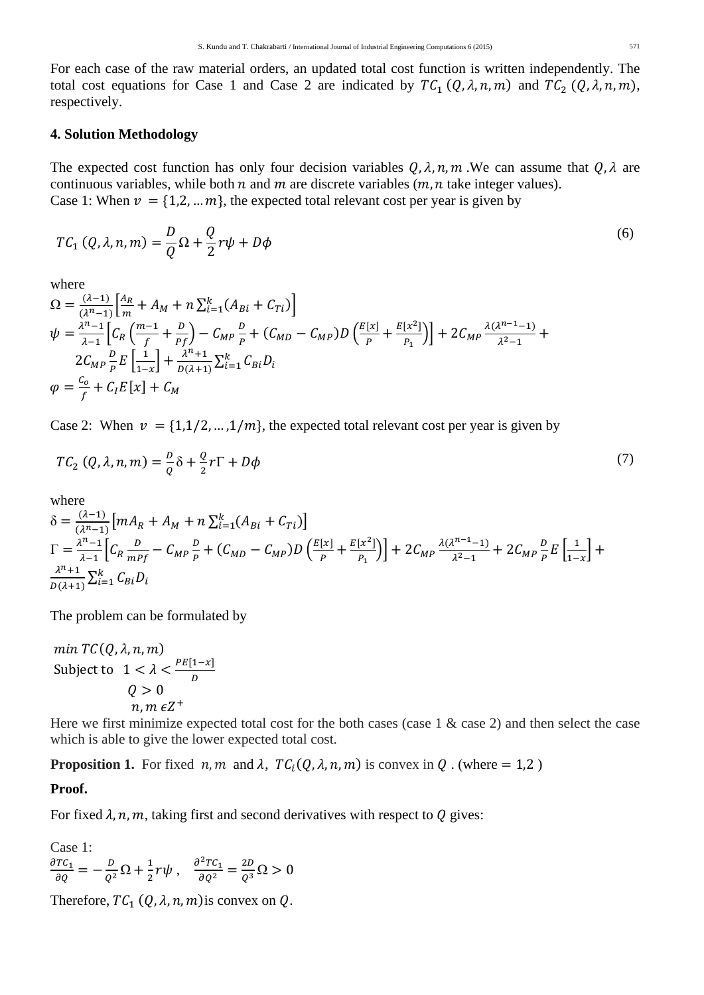For each case of the raw material orders, an updated total cost function is written independently. The total cost equations for Case 1 and Case 2 are indicated by  $TC_1(Q, \lambda, n, m)$  and  $TC_2(Q, \lambda, n, m)$ , respectively.

### **4. Solution Methodology**

The expected cost function has only four decision variables  $Q, \lambda, n, m$ . We can assume that  $Q, \lambda$  are continuous variables, while both  $n$  and  $m$  are discrete variables  $(m, n)$  take integer values). Case 1: When  $v = \{1, 2, ..., m\}$ , the expected total relevant cost per year is given by

$$
TC_1(Q, \lambda, n, m) = \frac{D}{Q}\Omega + \frac{Q}{2}r\psi + D\phi
$$
\n(6)

where

$$
\Omega = \frac{(\lambda - 1)}{(\lambda^{n} - 1)} \left[ \frac{A_R}{m} + A_M + n \sum_{i=1}^k (A_{Bi} + C_{Ti}) \right]
$$
\n
$$
\psi = \frac{\lambda^{n} - 1}{\lambda - 1} \left[ C_R \left( \frac{m - 1}{f} + \frac{D}{Pf} \right) - C_{MP} \frac{D}{P} + (C_{MD} - C_{MP}) D \left( \frac{E[x]}{P} + \frac{E[x^2]}{P_1} \right) \right] + 2C_{MP} \frac{\lambda(\lambda^{n} - 1)}{\lambda^2 - 1} + 2C_{MP} \frac{D}{P} E \left[ \frac{1}{1 - x} \right] + \frac{\lambda^{n} + 1}{D(\lambda + 1)} \sum_{i=1}^k C_{Bi} D_i
$$
\n
$$
\varphi = \frac{C_o}{f} + C_I E[x] + C_M
$$

Case 2: When  $v = \{1, 1/2, ..., 1/m\}$ , the expected total relevant cost per year is given by

$$
TC_2(Q, \lambda, n, m) = \frac{D}{Q}\delta + \frac{Q}{2}r\Gamma + D\phi
$$
\n(7)

where

$$
\delta = \frac{(\lambda - 1)}{(\lambda^{n} - 1)} \Big[ m A_R + A_M + n \sum_{i=1}^k (A_{Bi} + C_{Ti}) \Big] \n\Gamma = \frac{\lambda^{n} - 1}{\lambda - 1} \Big[ C_R \frac{D}{m P f} - C_{MP} \frac{D}{p} + (C_{MD} - C_{MP}) D \Big( \frac{E[x]}{p} + \frac{E[x^2]}{p_1} \Big) \Big] + 2 C_{MP} \frac{\lambda (\lambda^{n-1} - 1)}{\lambda^2 - 1} + 2 C_{MP} \frac{D}{p} E \Big[ \frac{1}{1 - x} \Big] + \n\frac{\lambda^{n} + 1}{D(\lambda + 1)} \sum_{i=1}^k C_{Bi} D_i
$$

The problem can be formulated by

min 
$$
TC(Q, \lambda, n, m)
$$
  
Subject to  $1 < \lambda < \frac{PE[1-x]}{D}$   
 $Q > 0$   
 $n, m \in \mathbb{Z}^+$ 

Here we first minimize expected total cost for the both cases (case  $1 \&$  case  $2$ ) and then select the case which is able to give the lower expected total cost.

**Proposition 1.** For fixed  $n, m$  and  $\lambda$ ,  $TC_i(Q, \lambda, n, m)$  is convex in  $Q$ . (where = 1,2)

#### **Proof.**

For fixed  $\lambda$ ,  $n$ ,  $m$ , taking first and second derivatives with respect to  $Q$  gives:

Case 1:  $\frac{\partial T C_1}{\partial Q} = -\frac{D}{Q^2} \Omega + \frac{1}{2} r \psi$ ,  $\frac{\partial^2 T C_1}{\partial Q^2} = \frac{2D}{Q^3} \Omega > 0$ 

Therefore,  $TC_1$   $(Q, \lambda, n, m)$  is convex on  $Q$ .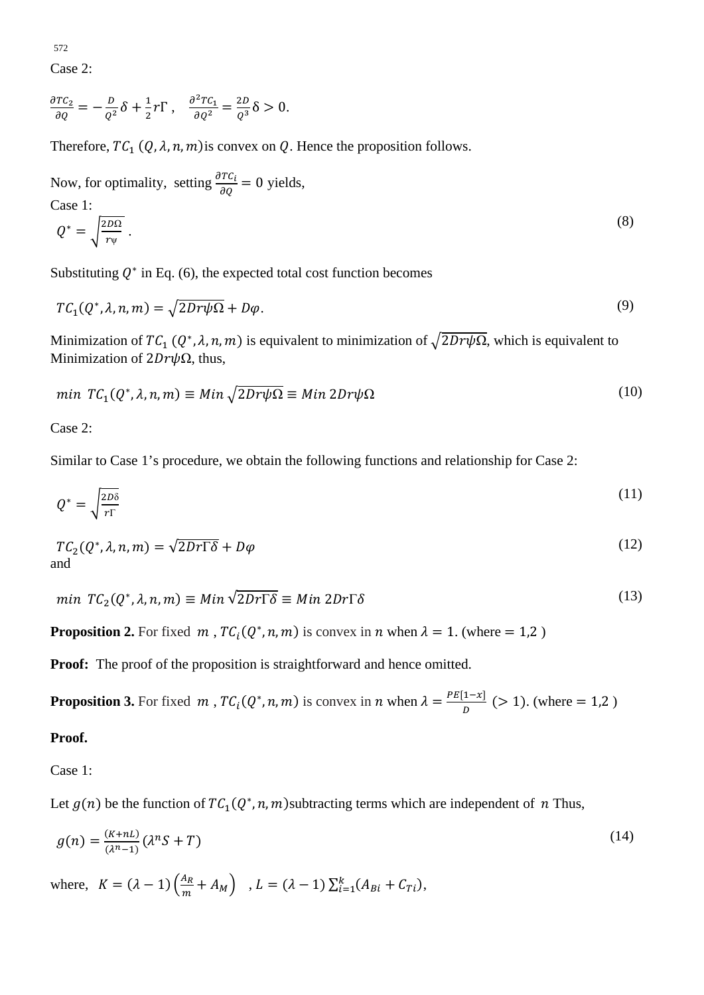572

Case 2:

$$
\frac{\partial T C_2}{\partial Q} = -\frac{D}{Q^2} \delta + \frac{1}{2} r \Gamma , \quad \frac{\partial^2 T C_1}{\partial Q^2} = \frac{2D}{Q^3} \delta > 0.
$$

Therefore,  $TC_1$   $(Q, \lambda, n, m)$  is convex on Q. Hence the proposition follows.

Now, for optimality, setting  $\frac{\partial T C_i}{\partial Q} = 0$  yields,

Case 1:  
\n
$$
Q^* = \sqrt{\frac{2D\Omega}{r\psi}}.
$$
\n(8)

Substituting  $Q^*$  in Eq. (6), the expected total cost function becomes

$$
TC_1(Q^*,\lambda,n,m) = \sqrt{2Dr\psi\Omega} + D\varphi. \tag{9}
$$

Minimization of  $TC_1(Q^*, \lambda, n, m)$  is equivalent to minimization of  $\sqrt{2Dr\psi\Omega}$ , which is equivalent to Minimization of  $2Dr\psi\Omega$ , thus,

$$
min \ TC_1(Q^*, \lambda, n, m) \equiv Min \ \sqrt{2Dr\psi\Omega} \equiv Min \ 2Dr\psi\Omega \tag{10}
$$

Case 2:

Similar to Case 1's procedure, we obtain the following functions and relationship for Case 2:

$$
Q^* = \sqrt{\frac{2D\delta}{r\Gamma}}\tag{11}
$$

$$
TC_2(Q^*, \lambda, n, m) = \sqrt{2Dr\Gamma\delta} + D\varphi
$$
 (12)

$$
min \ TC_2(Q^*, \lambda, n, m) \equiv Min \ \sqrt{2Dr\Gamma\delta} \equiv Min \ 2Dr\Gamma\delta \tag{13}
$$

**Proposition 2.** For fixed  $m$ ,  $TC_i(Q^*, n, m)$  is convex in  $n$  when  $\lambda = 1$ . (where = 1,2)

**Proof:** The proof of the proposition is straightforward and hence omitted.

**Proposition 3.** For fixed  $m$ ,  $TC_i(Q^*, n, m)$  is convex in  $n$  when  $\lambda = \frac{PE[1-x]}{n}$  (> 1). (where = 1,2)

# **Proof.**

Case 1:

Let  $g(n)$  be the function of  $TC_1(Q^*, n, m)$  subtracting terms which are independent of  $n$  Thus,

$$
g(n) = \frac{(K + nL)}{(\lambda^n - 1)} (\lambda^n S + T)
$$
\n(14)

where,  $K = (\lambda - 1) \left( \frac{A_R}{m} + A_M \right)$ ,  $L = (\lambda - 1) \sum_{i=1}^k (A_{Bi} + C_{Ti})$ ,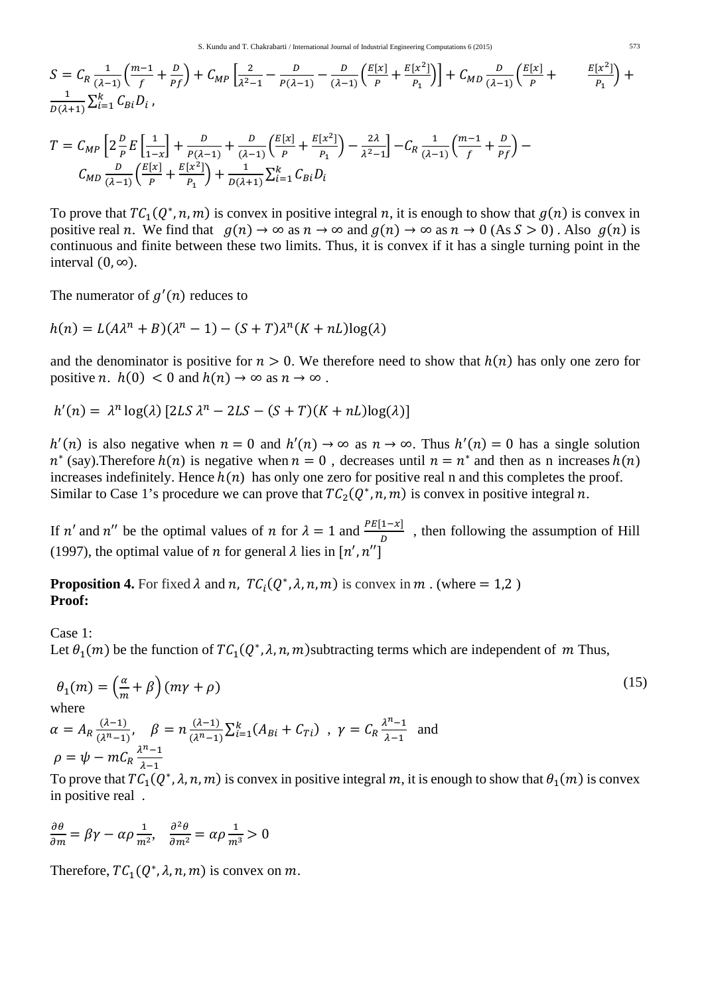$$
S = C_R \frac{1}{(\lambda - 1)} \left( \frac{m - 1}{f} + \frac{D}{Pf} \right) + C_{MP} \left[ \frac{2}{\lambda^2 - 1} - \frac{D}{P(\lambda - 1)} - \frac{D}{(\lambda - 1)} \left( \frac{E[x]}{P} + \frac{E[x^2]}{P_1} \right) \right] + C_{MD} \frac{D}{(\lambda - 1)} \left( \frac{E[x]}{P} + \frac{E[x^2]}{P_1} \right) + \frac{1}{D(\lambda + 1)} \sum_{i=1}^k C_{Bi} D_i,
$$

$$
T = C_{MP} \left[ 2 \frac{p}{p} E \left[ \frac{1}{1-x} \right] + \frac{p}{p(\lambda-1)} + \frac{p}{(\lambda-1)} \left( \frac{E[x]}{p} + \frac{E[x^2]}{p_1} \right) - \frac{2\lambda}{\lambda^2 - 1} \right] - C_R \frac{1}{(\lambda-1)} \left( \frac{m-1}{f} + \frac{p}{pf} \right) - C_{MP} \frac{p}{(\lambda-1)} \left( \frac{E[x]}{p} + \frac{E[x^2]}{p_1} \right) + \frac{1}{D(\lambda+1)} \sum_{i=1}^k C_{Bi} D_i
$$

To prove that  $TC_1(Q^*, n, m)$  is convex in positive integral n, it is enough to show that  $g(n)$  is convex in positive real n. We find that  $g(n) \to \infty$  as  $n \to \infty$  and  $g(n) \to \infty$  as  $n \to 0$  (As  $S > 0$ ). Also  $g(n)$  is continuous and finite between these two limits. Thus, it is convex if it has a single turning point in the interval  $(0, \infty)$ .

The numerator of  $g'(n)$  reduces to

$$
h(n) = L(A\lambda^{n} + B)(\lambda^{n} - 1) - (S + T)\lambda^{n}(K + nL)\log(\lambda)
$$

and the denominator is positive for  $n > 0$ . We therefore need to show that  $h(n)$  has only one zero for positive *n*.  $h(0) < 0$  and  $h(n) \to \infty$  as  $n \to \infty$ .

 $h'(n) = \lambda^n \log(\lambda) [2LS \lambda^n - 2LS - (S + T)(K + nL)\log(\lambda)]$ 

 $h'(n)$  is also negative when  $n = 0$  and  $h'(n) \to \infty$  as  $n \to \infty$ . Thus  $h'(n) = 0$  has a single solution  $n^*$  (say). Therefore  $h(n)$  is negative when  $n = 0$ , decreases until  $n = n^*$  and then as n increases  $h(n)$ increases indefinitely. Hence  $h(n)$  has only one zero for positive real n and this completes the proof. Similar to Case 1's procedure we can prove that  $TC_2(Q^*, n, m)$  is convex in positive integral n.

If n' and n'' be the optimal values of n for  $\lambda = 1$  and  $\frac{PE[1-x]}{D}$ , then following the assumption of Hill (1997), the optimal value of *n* for general  $\lambda$  lies in  $[n', n'']$ 

**Proposition 4.** For fixed  $\lambda$  and  $n$ ,  $TC_i(Q^*, \lambda, n, m)$  is convex in  $m$  . (where = 1,2) **Proof:** 

Case 1:

Let  $\theta_1(m)$  be the function of  $TC_1(Q^*, \lambda, n, m)$  subtracting terms which are independent of m Thus,

$$
\theta_1(m) = \left(\frac{\alpha}{m} + \beta\right)(m\gamma + \rho)
$$
  
where  

$$
\alpha = A_R \frac{(\lambda - 1)}{(\lambda^n - 1)}, \quad \beta = n \frac{(\lambda - 1)}{(\lambda^n - 1)} \sum_{i=1}^k (A_{Bi} + C_{Ti}), \quad \gamma = C_R \frac{\lambda^n - 1}{\lambda - 1} \text{ and}
$$

$$
\rho = \psi - mC_R \frac{\lambda^n - 1}{\lambda - 1}
$$
 (15)

To prove that  $TC_1(Q^*, \lambda, n, m)$  is convex in positive integral  $m$ , it is enough to show that  $\theta_1(m)$  is convex in positive real .

$$
\frac{\partial \theta}{\partial m} = \beta \gamma - \alpha \rho \frac{1}{m^2}, \quad \frac{\partial^2 \theta}{\partial m^2} = \alpha \rho \frac{1}{m^3} > 0
$$

Therefore,  $TC_1(Q^*, \lambda, n, m)$  is convex on m.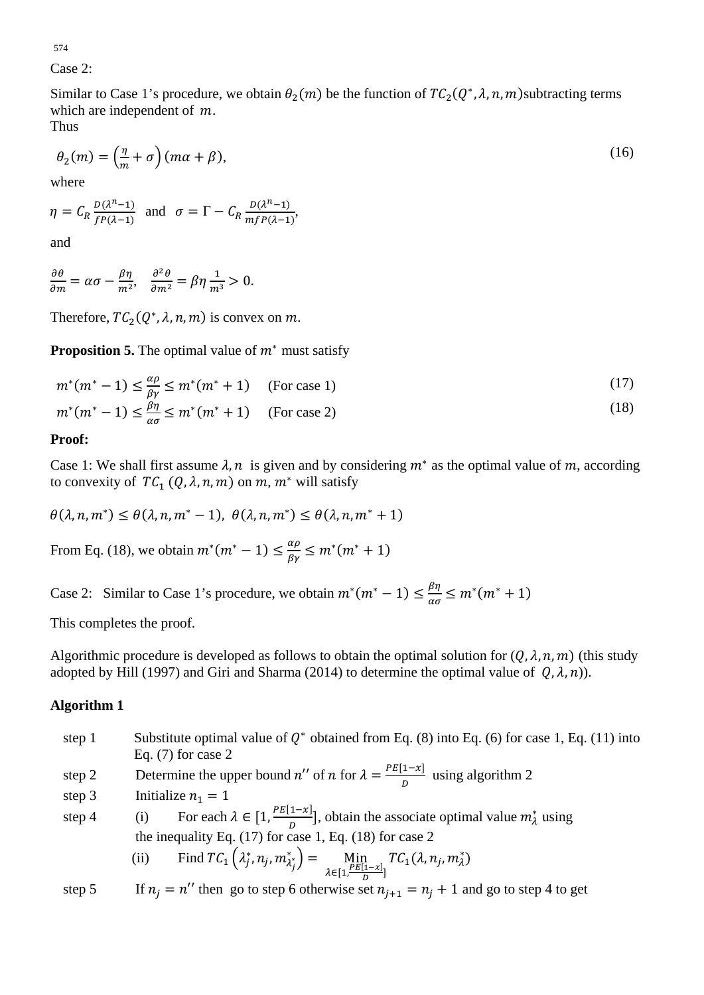Case 2:

Similar to Case 1's procedure, we obtain  $\theta_2(m)$  be the function of  $TC_2(Q^*, \lambda, n, m)$  subtracting terms which are independent of  $m$ .

Thus

$$
\theta_2(m) = \left(\frac{\eta}{m} + \sigma\right)(m\alpha + \beta),\tag{16}
$$

where

$$
\eta = C_R \frac{D(\lambda^n - 1)}{f^p(\lambda - 1)} \quad \text{and} \quad \sigma = \Gamma - C_R \frac{D(\lambda^n - 1)}{m f^p(\lambda - 1)},
$$

and

$$
\frac{\partial \theta}{\partial m} = \alpha \sigma - \frac{\beta \eta}{m^2}, \quad \frac{\partial^2 \theta}{\partial m^2} = \beta \eta \frac{1}{m^3} > 0.
$$

Therefore,  $TC_2(Q^*, \lambda, n, m)$  is convex on m.

**Proposition 5.** The optimal value of  $m^*$  must satisfy

$$
m^*(m^*-1) \le \frac{a\rho}{\beta\nu} \le m^*(m^*+1) \quad \text{(For case 1)}
$$
 (17)

$$
m^*(m^*-1) \le \frac{\beta\eta}{\alpha\sigma} \le m^*(m^*+1) \quad \text{(For case 2)}
$$
 (18)

# **Proof:**

Case 1: We shall first assume  $\lambda$ ,  $n$  is given and by considering  $m^*$  as the optimal value of  $m$ , according to convexity of  $TC_1$   $(Q, \lambda, n, m)$  on  $m, m^*$  will satisfy

 $\theta(\lambda, n, m^*) \leq \theta(\lambda, n, m^* - 1), \ \theta(\lambda, n, m^*) \leq \theta(\lambda, n, m^* + 1)$ 

From Eq. (18), we obtain  $m^*(m^* - 1) \leq \frac{\alpha \rho}{\beta \gamma} \leq m^*(m^* + 1)$ 

Case 2: Similar to Case 1's procedure, we obtain  $m^*(m^* - 1) \le \frac{\beta \eta}{\alpha \sigma} \le m^*(m^* + 1)$ 

This completes the proof.

Algorithmic procedure is developed as follows to obtain the optimal solution for  $(Q, \lambda, n, m)$  (this study adopted by Hill (1997) and Giri and Sharma (2014) to determine the optimal value of  $(Q, \lambda, n)$ ).

# **Algorithm 1**

- step 1 Substitute optimal value of  $Q^*$  obtained from Eq. (8) into Eq. (6) for case 1, Eq. (11) into Eq. (7) for case 2
- step 2 Determine the upper bound  $n''$  of  $n$  for  $\lambda = \frac{PE[1-x]}{n}$  using algorithm 2
- step 3 Initialize  $n_1 = 1$
- step 4 (i) For each  $\lambda \in [1, \frac{PE[1-x]}{D}]$ , obtain the associate optimal value  $m_{\lambda}^{*}$  using the inequality Eq. (17) for case 1, Eq. (18) for case 2
- (ii) Find  $TC_1\left(\lambda_j^*, n_j, m_{\lambda_j^*}^*\right) = \min_{\lambda \in \mathbb{N}_1} \frac{N_{\text{min}}}{PE[1]}$  $\lambda \in [1, \frac{PE[1-x]}{D}]$  $TC_1(\lambda, n_j, m_\lambda^*)$

step 5 If  $n_i = n''$  then go to step 6 otherwise set  $n_{i+1} = n_i + 1$  and go to step 4 to get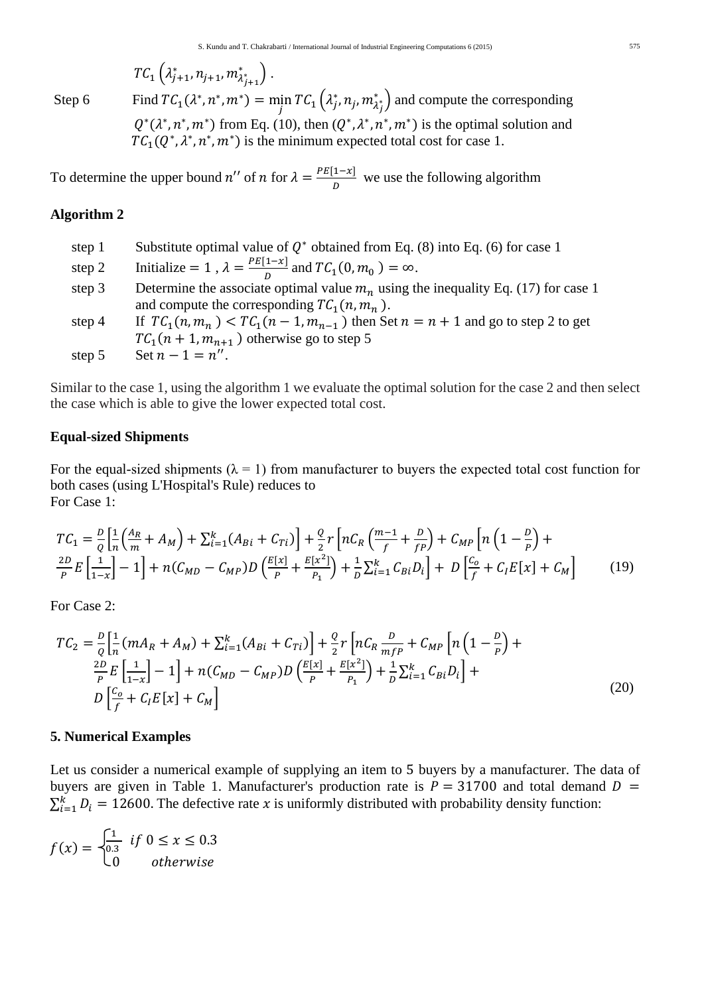$$
TC_1\left(\lambda_{j+1}^*, n_{j+1}, m_{\lambda_{j+1}}^*\right).
$$

Step 6 Find  $TC_1(\lambda^*, n^*, m^*) = \min_j TC_1(\lambda_j^*, n_j, m_{\lambda_j^*}^*)$  and compute the corresponding  $Q^*(\lambda^*, n^*, m^*)$  from Eq. (10), then  $(Q^*, \lambda^*, n^*, m^*)$  is the optimal solution and  $TC_1(Q^*, \lambda^*, m^*, m^*)$  is the minimum expected total cost for case 1.

To determine the upper bound n'' of n for  $\lambda = \frac{PE[1-x]}{D}$  we use the following algorithm

## **Algorithm 2**

step 1 Substitute optimal value of  $Q^*$  obtained from Eq. (8) into Eq. (6) for case 1 step 2 Initialize = 1,  $\lambda = \frac{PE[1-x]}{D}$  and  $TC_1(0, m_0) = \infty$ . step 3 Determine the associate optimal value  $m_n$  using the inequality Eq. (17) for case 1 and compute the corresponding  $TC_1(n, m_n)$ .<br>step 4 If  $TC_1(n, m_n) < TC_1(n - 1, m_{n-1})$  then Se If  $TC_1(n, m_n) < TC_1(n-1, m_{n-1})$  then Set  $n = n + 1$  and go to step 2 to get  $TC_1(n + 1, m_{n+1})$  otherwise go to step 5<br>step 5 Set  $n - 1 = n''$ . Set  $n - 1 = n''$ .

Similar to the case 1, using the algorithm 1 we evaluate the optimal solution for the case 2 and then select the case which is able to give the lower expected total cost.

### **Equal-sized Shipments**

For the equal-sized shipments ( $\lambda = 1$ ) from manufacturer to buyers the expected total cost function for both cases (using L'Hospital's Rule) reduces to For Case 1:

$$
TC_{1} = \frac{D}{Q} \left[ \frac{1}{n} \left( \frac{A_{R}}{m} + A_{M} \right) + \sum_{i=1}^{k} (A_{Bi} + C_{Ti}) \right] + \frac{Q}{2} r \left[ nC_{R} \left( \frac{m-1}{f} + \frac{D}{f^{p}} \right) + C_{MP} \left[ n \left( 1 - \frac{D}{p} \right) + \frac{2D}{p} E \left[ \frac{1}{1-x} \right] - 1 \right] + n(C_{MD} - C_{MP}) D \left( \frac{E[x]}{p} + \frac{E[x^{2}]}{p_{1}} \right) + \frac{1}{D} \sum_{i=1}^{k} C_{Bi} D_{i} \right] + D \left[ \frac{C_{o}}{f} + C_{I} E[x] + C_{M} \right]
$$
(19)

For Case 2:

$$
TC_{2} = \frac{D}{Q} \left[ \frac{1}{n} (mA_{R} + A_{M}) + \sum_{i=1}^{k} (A_{Bi} + C_{Ti}) \right] + \frac{Q}{2} r \left[ nC_{R} \frac{D}{mfp} + C_{MP} \left[ n \left( 1 - \frac{D}{p} \right) + \frac{2D}{p} E \left[ \frac{1}{1-x} \right] - 1 \right] + n(C_{MD} - C_{MP}) D \left( \frac{E[x]}{p} + \frac{E[x^{2}]}{p_{1}} \right) + \frac{1}{D} \sum_{i=1}^{k} C_{Bi} D_{i} \right] + D \left[ \frac{C_{O}}{f} + C_{I} E[x] + C_{M} \right]
$$
\n(20)

## **5. Numerical Examples**

Let us consider a numerical example of supplying an item to 5 buyers by a manufacturer. The data of buyers are given in Table 1. Manufacturer's production rate is  $P = 31700$  and total demand  $D =$  $\sum_{i=1}^{k} D_i = 12600$ . The defective rate x is uniformly distributed with probability density function:

$$
f(x) = \begin{cases} \frac{1}{0.3} & \text{if } 0 \le x \le 0.3\\ 0 & \text{otherwise} \end{cases}
$$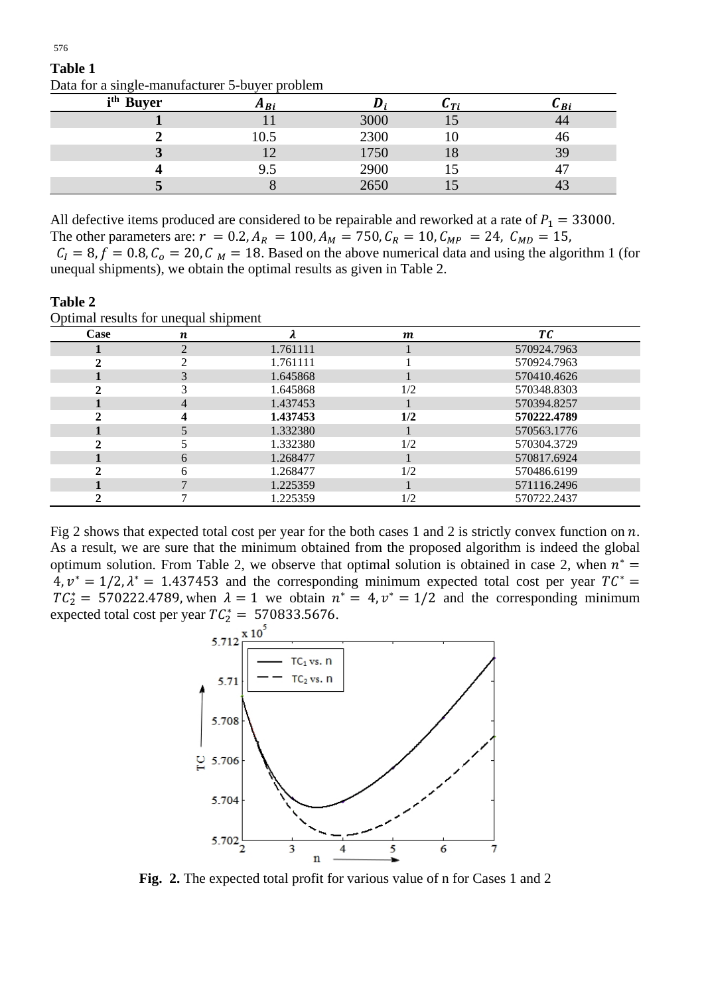| Data for a single-manufacturer 5-buyer problem |          |      |                           |                   |
|------------------------------------------------|----------|------|---------------------------|-------------------|
| i <sup>th</sup> Buyer                          | $A_{Bi}$ |      | $\mathbf{L}$ $\mathbf{r}$ | $C_{\textit{R}i}$ |
|                                                |          | 3000 |                           | 44                |
|                                                | 10.5     | 2300 |                           | 46                |
|                                                |          | 1750 |                           | 39                |
|                                                | 9.5      | 2900 |                           |                   |
|                                                |          | 2650 |                           |                   |

**Table 1**  Data for a single-manufacturer 5-buyer problem

All defective items produced are considered to be repairable and reworked at a rate of  $P_1 = 33000$ . The other parameters are:  $r = 0.2$ ,  $A_R = 100$ ,  $A_M = 750$ ,  $C_R = 10$ ,  $C_{MP} = 24$ ,  $C_{MD} = 15$ ,  $C_I = 8, f = 0.8, C_o = 20, C_M = 18$ . Based on the above numerical data and using the algorithm 1 (for unequal shipments), we obtain the optimal results as given in Table 2.

# **Table 2**

Optimal results for unequal shipment

| Case | n |          | $\boldsymbol{m}$ | ТC          |
|------|---|----------|------------------|-------------|
|      |   | 1.761111 |                  | 570924.7963 |
|      |   | 1.761111 |                  | 570924.7963 |
|      |   | 1.645868 |                  | 570410.4626 |
|      |   | 1.645868 | 1/2              | 570348.8303 |
|      |   | 1.437453 |                  | 570394.8257 |
|      |   | 1.437453 | 1/2              | 570222.4789 |
|      |   | 1.332380 |                  | 570563.1776 |
|      |   | 1.332380 | 1/2              | 570304.3729 |
|      | h | 1.268477 |                  | 570817.6924 |
|      |   | 1.268477 | 1/2              | 570486.6199 |
|      |   | 1.225359 |                  | 571116.2496 |
|      |   | 1.225359 | 1/2              | 570722.2437 |

Fig 2 shows that expected total cost per year for the both cases 1 and 2 is strictly convex function on  $n$ . As a result, we are sure that the minimum obtained from the proposed algorithm is indeed the global optimum solution. From Table 2, we observe that optimal solution is obtained in case 2, when  $n^* =$  $4, v^* = 1/2, \lambda^* = 1.437453$  and the corresponding minimum expected total cost per year  $TC^* =$  $TC_2^* = 570222.4789$ , when  $\lambda = 1$  we obtain  $n^* = 4$ ,  $v^* = 1/2$  and the corresponding minimum expected total cost per year  $TC_2^* = 570833.5676$ .



**Fig. 2.** The expected total profit for various value of n for Cases 1 and 2

576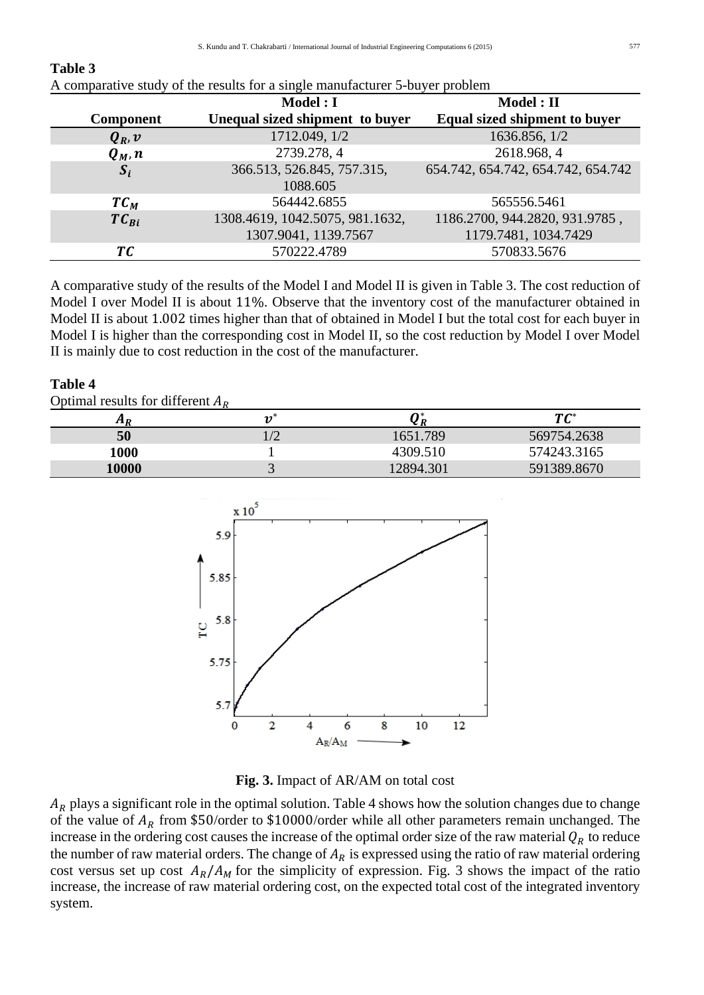|                  | <b>Model</b> : I                                        | <b>Model</b> : II                                      |
|------------------|---------------------------------------------------------|--------------------------------------------------------|
| <b>Component</b> | Unequal sized shipment to buyer                         | <b>Equal sized shipment to buyer</b>                   |
| $Q_R, v$         | 1712.049, 1/2                                           | 1636.856, 1/2                                          |
| $Q_M$ , $n$      | 2739.278, 4                                             | 2618.968, 4                                            |
| $S_i$            | 366.513, 526.845, 757.315,<br>1088.605                  | 654.742, 654.742, 654.742, 654.742                     |
| $TC_M$           | 564442.6855                                             | 565556.5461                                            |
| $TC_{Bi}$        | 1308.4619, 1042.5075, 981.1632,<br>1307.9041, 1139.7567 | 1186.2700, 944.2820, 931.9785,<br>1179.7481, 1034.7429 |
| ТC               | 570222.4789                                             | 570833.5676                                            |

A comparative study of the results for a single manufacturer 5-buyer problem

A comparative study of the results of the Model I and Model II is given in Table 3. The cost reduction of Model I over Model II is about 11%. Observe that the inventory cost of the manufacturer obtained in Model II is about 1.002 times higher than that of obtained in Model I but the total cost for each buyer in Model I is higher than the corresponding cost in Model II, so the cost reduction by Model I over Model II is mainly due to cost reduction in the cost of the manufacturer.

#### **Table 4**

**Table 3**

| Optimal results for different $A_R$ |                       |            |             |
|-------------------------------------|-----------------------|------------|-------------|
| Аp                                  | $\boldsymbol{\eta^*}$ | $\angle D$ | $TC^*$      |
| 50                                  |                       | 1651.789   | 569754.2638 |
| 1000                                |                       | 4309.510   | 574243.3165 |
| 10000                               |                       | 12894.301  | 591389.8670 |



**Fig. 3.** Impact of AR/AM on total cost

 $A_R$  plays a significant role in the optimal solution. Table 4 shows how the solution changes due to change of the value of  $A_R$  from \$50/order to \$10000/order while all other parameters remain unchanged. The increase in the ordering cost causes the increase of the optimal order size of the raw material  $Q_R$  to reduce the number of raw material orders. The change of  $A_R$  is expressed using the ratio of raw material ordering cost versus set up cost  $A_R/A_M$  for the simplicity of expression. Fig. 3 shows the impact of the ratio increase, the increase of raw material ordering cost, on the expected total cost of the integrated inventory system.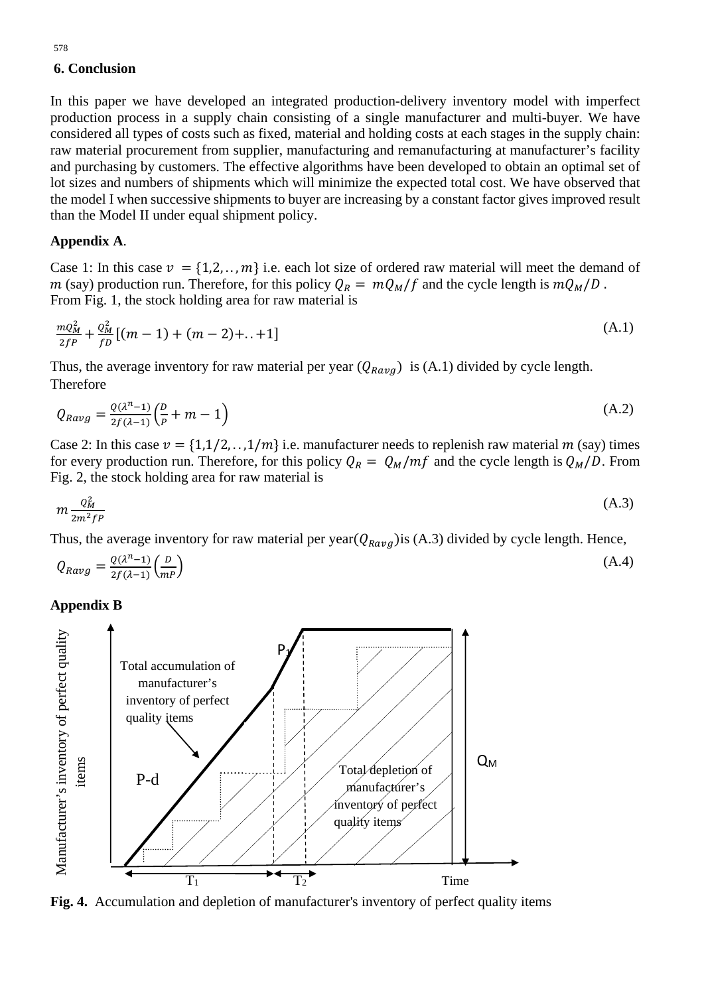# **6. Conclusion**

In this paper we have developed an integrated production-delivery inventory model with imperfect production process in a supply chain consisting of a single manufacturer and multi-buyer. We have considered all types of costs such as fixed, material and holding costs at each stages in the supply chain: raw material procurement from supplier, manufacturing and remanufacturing at manufacturer's facility and purchasing by customers. The effective algorithms have been developed to obtain an optimal set of lot sizes and numbers of shipments which will minimize the expected total cost. We have observed that the model I when successive shipments to buyer are increasing by a constant factor gives improved result than the Model II under equal shipment policy.

## **Appendix A**.

Case 1: In this case  $v = \{1, 2, \dots, m\}$  i.e. each lot size of ordered raw material will meet the demand of m (say) production run. Therefore, for this policy  $Q_R = mQ_M/f$  and the cycle length is  $mQ_M/D$ . From Fig. 1, the stock holding area for raw material is

$$
\frac{mQ_M^2}{2f^P} + \frac{Q_M^2}{f^D}[(m-1) + (m-2) + ... + 1]
$$
\n(A.1)

Thus, the average inventory for raw material per year  $(Q_{Ravg})$  is (A.1) divided by cycle length. Therefore

$$
Q_{Rayg} = \frac{Q(\lambda^n - 1)}{2f(\lambda - 1)} \left(\frac{D}{P} + m - 1\right)
$$
\n(A.2)

Case 2: In this case  $v = \{1, 1/2, \ldots, 1/m\}$  i.e. manufacturer needs to replenish raw material m (say) times for every production run. Therefore, for this policy  $Q_R = Q_M/mf$  and the cycle length is  $Q_M/D$ . From Fig. 2, the stock holding area for raw material is

$$
m \frac{Q_M^2}{2m^2 f P} \tag{A.3}
$$

Thus, the average inventory for raw material per year( $Q_{Rayg}$ ) is (A.3) divided by cycle length. Hence,

$$
Q_{Rayg} = \frac{Q(\lambda^{n-1})}{2f(\lambda-1)} \left(\frac{D}{mP}\right) \tag{A.4}
$$

# **Appendix B**



**Fig. 4.** Accumulation and depletion of manufacturer's inventory of perfect quality items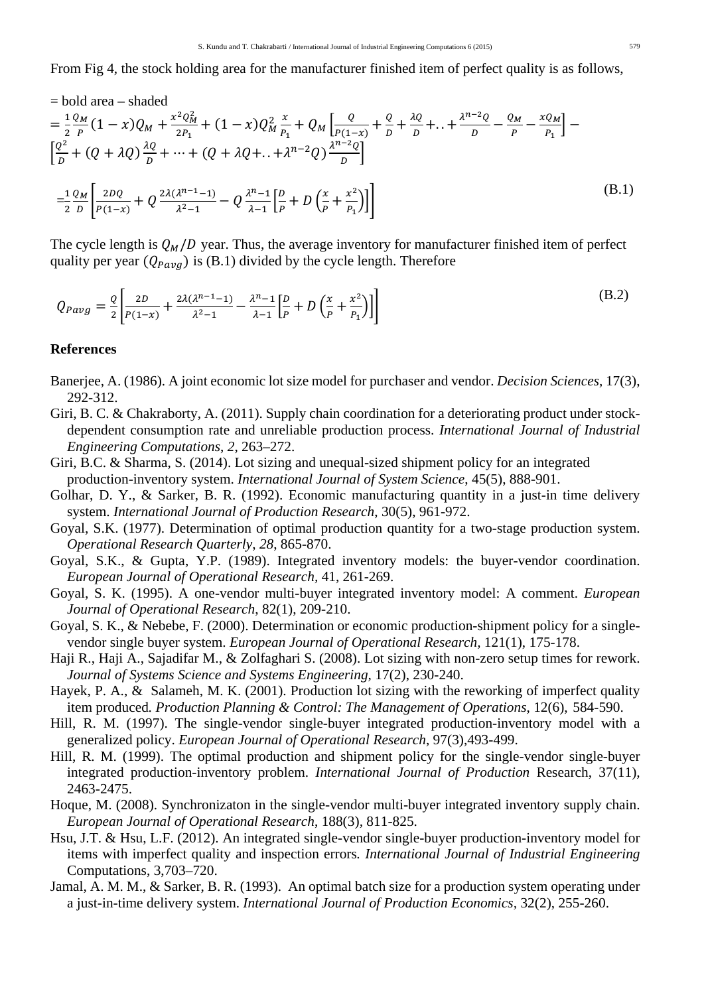From Fig 4, the stock holding area for the manufacturer finished item of perfect quality is as follows,

= bold area – shaded  
\n
$$
= \frac{1}{2} \frac{Q_M}{P} (1 - x) Q_M + \frac{x^2 Q_M^2}{2P_1} + (1 - x) Q_M^2 \frac{x}{P_1} + Q_M \left[ \frac{Q}{P(1 - x)} + \frac{Q}{D} + \frac{\lambda Q}{D} + \dots + \frac{\lambda^{n-2} Q}{D} - \frac{Q_M}{P} - \frac{x Q_M}{P_1} \right] -
$$
\n
$$
\frac{Q^2}{D} + (Q + \lambda Q) \frac{\lambda Q}{D} + \dots + (Q + \lambda Q + \dots + \lambda^{n-2} Q) \frac{\lambda^{n-2} Q}{D}
$$
\n
$$
= \frac{1}{2} \frac{Q_M}{D} \left[ \frac{2DQ}{P(1 - x)} + Q \frac{2\lambda(\lambda^{n-1} - 1)}{\lambda^{2} - 1} - Q \frac{\lambda^{n-1} Q}{\lambda - 1} \left[ \frac{D}{P} + D \left( \frac{x}{P} + \frac{x^2}{P_1} \right) \right] \right]
$$
\n(B.1)

The cycle length is  $Q_M/D$  year. Thus, the average inventory for manufacturer finished item of perfect quality per year  $(Q_{Payg})$  is (B.1) divided by the cycle length. Therefore

$$
Q_{Pavg} = \frac{Q}{2} \left[ \frac{2D}{P(1-x)} + \frac{2\lambda(\lambda^{n-1}-1)}{\lambda^2-1} - \frac{\lambda^{n}-1}{\lambda-1} \left[ \frac{D}{P} + D\left(\frac{x}{P} + \frac{x^2}{P_1}\right) \right] \right]
$$
(B.2)

### **References**

- Banerjee, A. (1986). A joint economic lot size model for purchaser and vendor. *Decision Sciences,* 17(3), 292-312.
- Giri, B. C. & Chakraborty, A. (2011). Supply chain coordination for a deteriorating product under stockdependent consumption rate and unreliable production process. *International Journal of Industrial Engineering Computations*, *2*, 263–272.
- Giri, B.C. & Sharma, S. (2014). Lot sizing and unequal-sized shipment policy for an integrated production-inventory system. *International Journal of System Science*, 45(5), 888-901.
- Golhar, D. Y., & Sarker, B. R. (1992). Economic manufacturing quantity in a just-in time delivery system. *International Journal of Production Research*, 30(5), 961-972.
- Goyal, S.K. (1977). Determination of optimal production quantity for a two-stage production system. *Operational Research Quarterly*, *28*, 865-870.
- Goyal, S.K., & Gupta, Y.P. (1989). Integrated inventory models: the buyer-vendor coordination. *European Journal of Operational Research,* 41, 261-269.
- Goyal, S. K. (1995). A one-vendor multi-buyer integrated inventory model: A comment. *European Journal of Operational Research*, 82(1), 209-210.
- Goyal, S. K., & Nebebe, F. (2000). Determination or economic production-shipment policy for a singlevendor single buyer system. *European Journal of Operational Research,* 121(1), 175-178.
- Haji R., Haji A., Sajadifar M., & Zolfaghari S. (2008). Lot sizing with non-zero setup times for rework. *Journal of Systems Science and Systems Engineering,* 17(2), 230-240.
- Hayek, P. A., & Salameh, M. K. (2001). Production lot sizing with the reworking of imperfect quality item produced*. Production Planning & Control: The Management of Operations*, 12(6), 584-590.
- Hill, R. M. (1997). The single-vendor single-buyer integrated production-inventory model with a generalized policy. *European Journal of Operational Research*, 97(3),493-499.
- Hill, R. M. (1999). The optimal production and shipment policy for the single-vendor single-buyer integrated production-inventory problem. *International Journal of Production* Research, 37(11)*,* 2463-2475.
- Hoque, M. (2008). Synchronizaton in the single-vendor multi-buyer integrated inventory supply chain. *European Journal of Operational Research*, 188(3)*,* 811-825.
- Hsu, J.T. & Hsu, L.F. (2012). An integrated single-vendor single-buyer production-inventory model for items with imperfect quality and inspection errors*. International Journal of Industrial Engineering*  Computations, 3,703–720.
- Jamal, A. M. M., & Sarker, B. R. (1993). An optimal batch size for a production system operating under a just-in-time delivery system. *International Journal of Production Economics,* 32(2), 255-260.